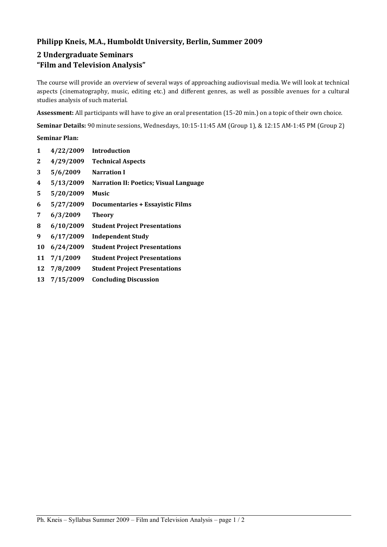# **Philipp Kneis, M.A., Humboldt University, Berlin, Summer 2009**

# **2 Undergraduate Seminars "Film and Television Analysis"**

The course will provide an overview of several ways of approaching audiovisual media. We will look at technical aspects (cinematography, music, editing etc.) and different genres, as well as possible avenues for a cultural studies analysis of such material.

**Assessment:** All participants will have to give an oral presentation (15-20 min.) on a topic of their own choice.

**Seminar Details:** 90 minute sessions, Wednesdays, 10:15-11:45 AM (Group 1), & 12:15 AM-1:45 PM (Group 2)

## **Seminar Plan:**

| 1  | 4/22/2009 | <b>Introduction</b>                           |
|----|-----------|-----------------------------------------------|
| 2  | 4/29/2009 | <b>Technical Aspects</b>                      |
| 3  | 5/6/2009  | <b>Narration I</b>                            |
| 4  | 5/13/2009 | <b>Narration II: Poetics; Visual Language</b> |
| 5  | 5/20/2009 | <b>Music</b>                                  |
| 6  | 5/27/2009 | <b>Documentaries + Essayistic Films</b>       |
| 7  | 6/3/2009  | <b>Theory</b>                                 |
| 8  | 6/10/2009 | <b>Student Project Presentations</b>          |
| 9  | 6/17/2009 | <b>Independent Study</b>                      |
| 10 | 6/24/2009 | <b>Student Project Presentations</b>          |
| 11 | 7/1/2009  | <b>Student Project Presentations</b>          |
| 12 | 7/8/2009  | <b>Student Project Presentations</b>          |
| 13 | 7/15/2009 | <b>Concluding Discussion</b>                  |